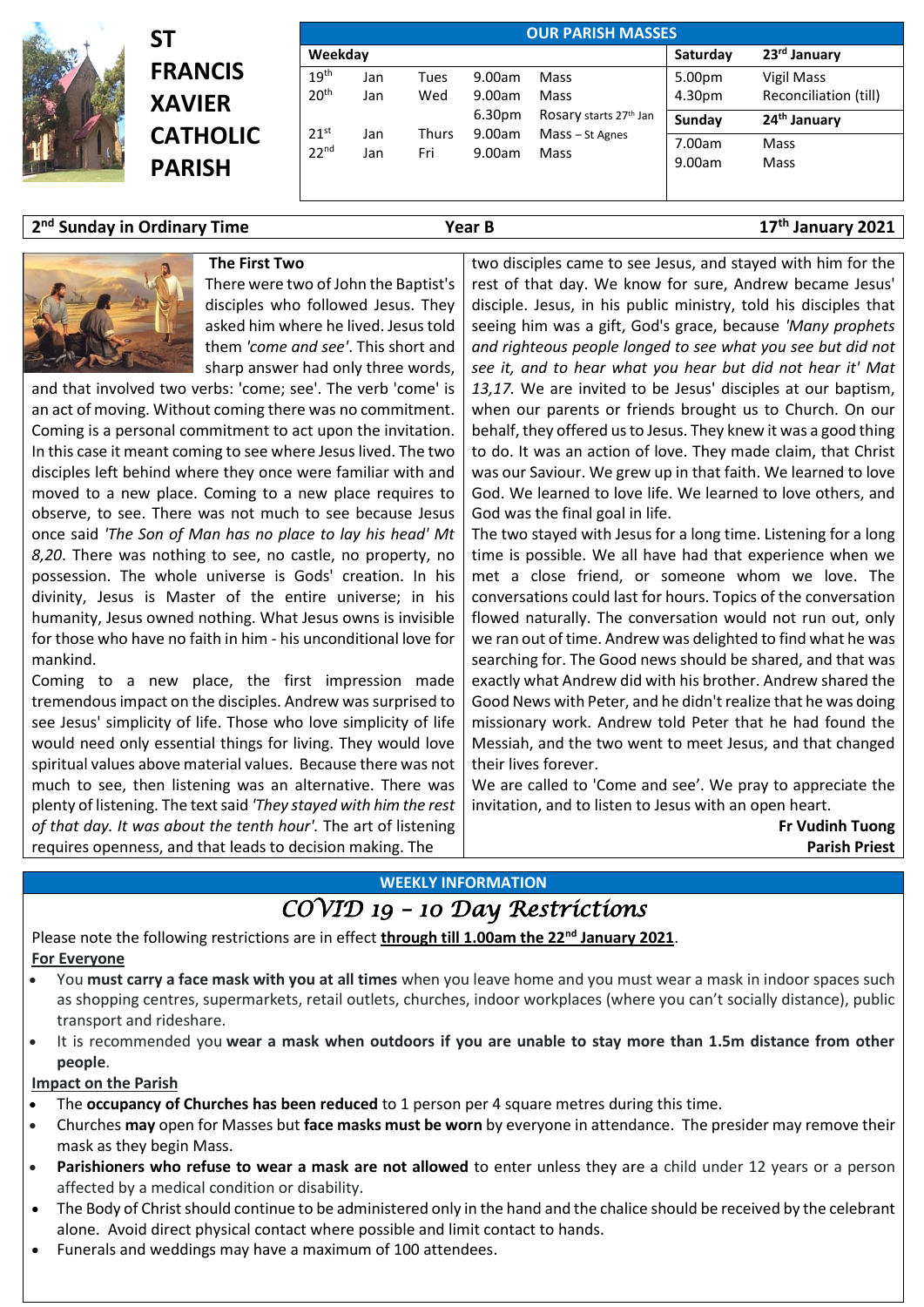

# **ST FRANCIS XAVIER CATHOLIC PARISH**

| <b>OUR PARISH MASSES</b> |                      |       |                    |                        |          |                          |  |  |
|--------------------------|----------------------|-------|--------------------|------------------------|----------|--------------------------|--|--|
| Weekday                  |                      |       |                    |                        | Saturday | 23 <sup>rd</sup> January |  |  |
| 19 <sup>th</sup>         | Jan                  | Tues  | 9.00am             | Mass                   | 5.00pm   | Vigil Mass               |  |  |
| 20 <sup>th</sup>         | Jan                  | Wed   | 9.00am             | Mass                   | 4.30pm   | Reconciliation (till)    |  |  |
| 21 <sup>st</sup>         |                      |       | 6.30 <sub>pm</sub> | Rosary starts 27th Jan | Sunday   | 24 <sup>th</sup> January |  |  |
| 22 <sup>nd</sup>         | Jan                  | Thurs | 9.00am             | Mass - St Agnes        | 7.00am   | Mass                     |  |  |
|                          | 9.00am<br>Fri<br>Jan | Mass  | 9.00am             | Mass                   |          |                          |  |  |

### **2 nd Sunday in Ordinary Time Year B 17th January 2021**



There were two of John the Baptist's disciples who followed Jesus. They asked him where he lived. Jesus told them *'come and see'*. This short and sharp answer had only three words,

and that involved two verbs: 'come; see'. The verb 'come' is an act of moving. Without coming there was no commitment. Coming is a personal commitment to act upon the invitation. In this case it meant coming to see where Jesus lived. The two disciples left behind where they once were familiar with and moved to a new place. Coming to a new place requires to observe, to see. There was not much to see because Jesus once said *'The Son of Man has no place to lay his head' Mt 8,20*. There was nothing to see, no castle, no property, no possession. The whole universe is Gods' creation. In his divinity, Jesus is Master of the entire universe; in his humanity, Jesus owned nothing. What Jesus owns is invisible for those who have no faith in him - his unconditional love for mankind.

Coming to a new place, the first impression made tremendous impact on the disciples. Andrew was surprised to see Jesus' simplicity of life. Those who love simplicity of life would need only essential things for living. They would love spiritual values above material values. Because there was not much to see, then listening was an alternative. There was plenty of listening. The text said *'They stayed with him the rest of that day. It was about the tenth hour'.* The art of listening requires openness, and that leads to decision making. The

two disciples came to see Jesus, and stayed with him for the rest of that day. We know for sure, Andrew became Jesus' disciple. Jesus, in his public ministry, told his disciples that seeing him was a gift, God's grace, because *'Many prophets and righteous people longed to see what you see but did not see it, and to hear what you hear but did not hear it' Mat 13,17.* We are invited to be Jesus' disciples at our baptism, when our parents or friends brought us to Church. On our behalf, they offered us to Jesus. They knew it was a good thing to do. It was an action of love. They made claim, that Christ was our Saviour. We grew up in that faith. We learned to love God. We learned to love life. We learned to love others, and God was the final goal in life.

The two stayed with Jesus for a long time. Listening for a long time is possible. We all have had that experience when we met a close friend, or someone whom we love. The conversations could last for hours. Topics of the conversation flowed naturally. The conversation would not run out, only we ran out of time. Andrew was delighted to find what he was searching for. The Good news should be shared, and that was exactly what Andrew did with his brother. Andrew shared the Good News with Peter, and he didn't realize that he was doing missionary work. Andrew told Peter that he had found the Messiah, and the two went to meet Jesus, and that changed their lives forever.

We are called to 'Come and see'. We pray to appreciate the invitation, and to listen to Jesus with an open heart.

> **Fr Vudinh Tuong Parish Priest**

#### **WEEKLY INFORMATION**

## *COVID 19 – 10 Day Restrictions*

Please note the following restrictions are in effect **through till 1.00am the 22nd January 2021**. **For Everyone**

- You **must carry a face mask with you at all times** when you leave home and you must wear a mask in indoor spaces such as shopping centres, supermarkets, retail outlets, churches, indoor workplaces (where you can't socially distance), public transport and rideshare.
- It is recommended you **wear a mask when outdoors if you are unable to stay more than 1.5m distance from other people**.

#### **Impact on the Parish**

- The **occupancy of Churches has been reduced** to 1 person per 4 square metres during this time.
- Churches **may** open for Masses but **face masks must be worn** by everyone in attendance. The presider may remove their mask as they begin Mass.
- **Parishioners who refuse to wear a mask are not allowed** to enter unless they are a child under 12 years or a person affected by a medical condition or disability.
- The Body of Christ should continue to be administered only in the hand and the chalice should be received by the celebrant alone. Avoid direct physical contact where possible and limit contact to hands.
- Funerals and weddings may have a maximum of 100 attendees.